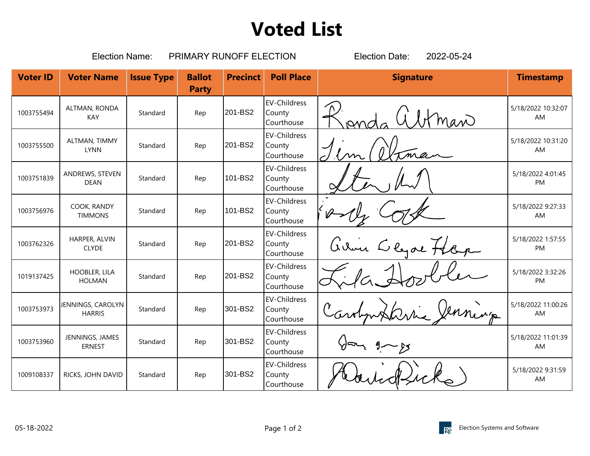## **Voted List**

|                 | <b>Election Name:</b>              |                   | PRIMARY RUNOFF ELECTION       | 2022-05-24<br><b>Election Date:</b> |                                             |                  |                          |
|-----------------|------------------------------------|-------------------|-------------------------------|-------------------------------------|---------------------------------------------|------------------|--------------------------|
| <b>Voter ID</b> | <b>Voter Name</b>                  | <b>Issue Type</b> | <b>Ballot</b><br><b>Party</b> | <b>Precinct</b>                     | <b>Poll Place</b>                           | <b>Signature</b> | <b>Timestamp</b>         |
| 1003755494      | ALTMAN, RONDA<br>KAY               | Standard          | Rep                           | 201-BS2                             | <b>EV-Childress</b><br>County<br>Courthouse | man              | 5/18/2022 10:32:07<br>AM |
| 1003755500      | ALTMAN, TIMMY<br><b>LYNN</b>       | Standard          | Rep                           | 201-BS2                             | <b>EV-Childress</b><br>County<br>Courthouse |                  | 5/18/2022 10:31:20<br>AM |
| 1003751839      | ANDREWS, STEVEN<br><b>DEAN</b>     | Standard          | Rep                           | 101-BS2                             | <b>EV-Childress</b><br>County<br>Courthouse |                  | 5/18/2022 4:01:45<br>PM  |
| 1003756976      | COOK, RANDY<br><b>TIMMONS</b>      | Standard          | Rep                           | 101-BS2                             | <b>EV-Childress</b><br>County<br>Courthouse |                  | 5/18/2022 9:27:33<br>AM  |
| 1003762326      | HARPER, ALVIN<br><b>CLYDE</b>      | Standard          | Rep                           | 201-BS2                             | <b>EV-Childress</b><br>County<br>Courthouse | avoir Clyde Hap  | 5/18/2022 1:57:55<br>PM  |
| 1019137425      | HOOBLER, LILA<br><b>HOLMAN</b>     | Standard          | Rep                           | 201-BS2                             | <b>EV-Childress</b><br>County<br>Courthouse |                  | 5/18/2022 3:32:26<br>PM  |
| 1003753973      | JENNINGS, CAROLYN<br><b>HARRIS</b> | Standard          | Rep                           | 301-BS2                             | <b>EV-Childress</b><br>County<br>Courthouse |                  | 5/18/2022 11:00:26<br>AM |
| 1003753960      | JENNINGS, JAMES<br><b>ERNEST</b>   | Standard          | Rep                           | 301-BS2                             | <b>EV-Childress</b><br>County<br>Courthouse |                  | 5/18/2022 11:01:39<br>AM |
| 1009108337      | RICKS, JOHN DAVID                  | Standard          | Rep                           | 301-BS2                             | <b>EV-Childress</b><br>County<br>Courthouse |                  | 5/18/2022 9:31:59<br>AM  |
|                 |                                    |                   |                               |                                     |                                             |                  |                          |